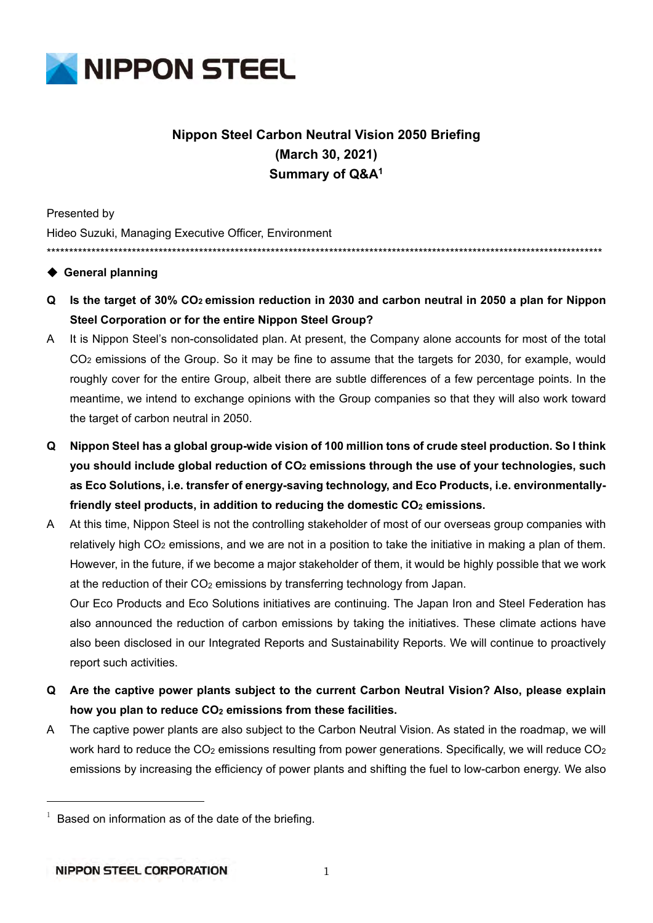

# **Nippon Steel Carbon Neutral Vision 2050 Briefing (March 30, 2021) Summary of Q&A1**

Presented by

Hideo Suzuki, Managing Executive Officer, Environment \*\*\*\*\*\*\*\*\*\*\*\*\*\*\*\*\*\*\*\*\*\*\*\*\*\*\*\*\*\*\*\*\*\*\*\*\*\*\*\*\*\*\*\*\*\*\*\*\*\*\*\*\*\*\*\*\*\*\*\*\*\*\*\*\*\*\*\*\*\*\*\*\*\*\*\*\*\*\*\*\*\*\*\*\*\*\*\*\*\*\*\*\*\*\*\*\*\*\*\*\*\*\*\*\*\*\*\*\*\*\*\*\*\*\*\*\*\*\*\*\*\*\*\*

# ◆ General planning

- **Q Is the target of 30% CO2 emission reduction in 2030 and carbon neutral in 2050 a plan for Nippon Steel Corporation or for the entire Nippon Steel Group?**
- A It is Nippon Steel's non-consolidated plan. At present, the Company alone accounts for most of the total CO2 emissions of the Group. So it may be fine to assume that the targets for 2030, for example, would roughly cover for the entire Group, albeit there are subtle differences of a few percentage points. In the meantime, we intend to exchange opinions with the Group companies so that they will also work toward the target of carbon neutral in 2050.
- **Q Nippon Steel has a global group-wide vision of 100 million tons of crude steel production. So I think you should include global reduction of CO2 emissions through the use of your technologies, such as Eco Solutions, i.e. transfer of energy-saving technology, and Eco Products, i.e. environmentally**friendly steel products, in addition to reducing the domestic CO<sub>2</sub> emissions.

A At this time, Nippon Steel is not the controlling stakeholder of most of our overseas group companies with relatively high CO<sub>2</sub> emissions, and we are not in a position to take the initiative in making a plan of them. However, in the future, if we become a major stakeholder of them, it would be highly possible that we work at the reduction of their  $CO<sub>2</sub>$  emissions by transferring technology from Japan.

Our Eco Products and Eco Solutions initiatives are continuing. The Japan Iron and Steel Federation has also announced the reduction of carbon emissions by taking the initiatives. These climate actions have also been disclosed in our Integrated Reports and Sustainability Reports. We will continue to proactively report such activities.

- **Q Are the captive power plants subject to the current Carbon Neutral Vision? Also, please explain**  how you plan to reduce CO<sub>2</sub> emissions from these facilities.
- A The captive power plants are also subject to the Carbon Neutral Vision. As stated in the roadmap, we will work hard to reduce the  $CO<sub>2</sub>$  emissions resulting from power generations. Specifically, we will reduce  $CO<sub>2</sub>$ emissions by increasing the efficiency of power plants and shifting the fuel to low-carbon energy. We also

l,

 $1$  Based on information as of the date of the briefing.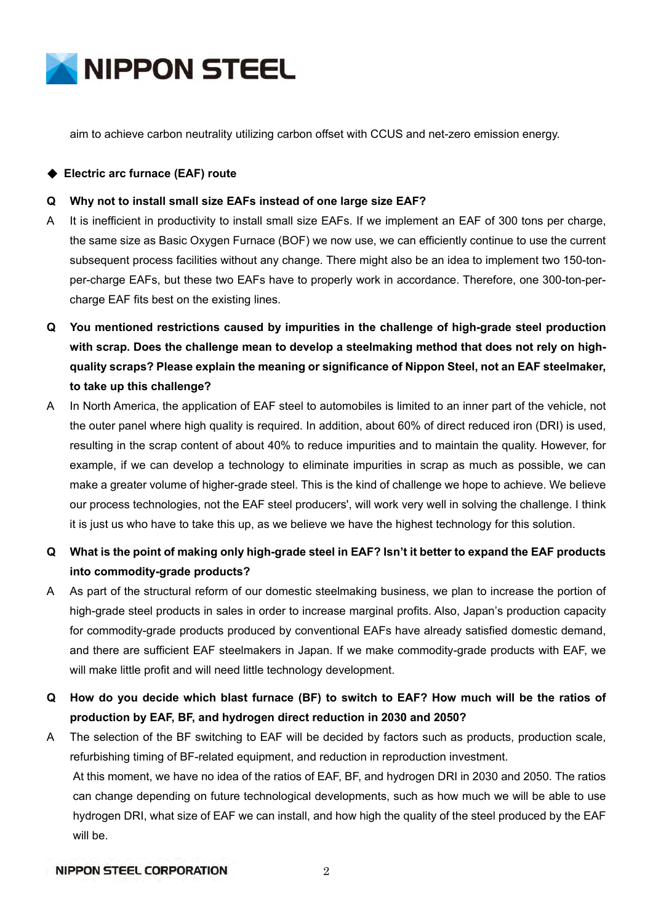

aim to achieve carbon neutrality utilizing carbon offset with CCUS and net-zero emission energy.

◆ **Electric arc furnace (EAF) route** 

### **Q Why not to install small size EAFs instead of one large size EAF?**

- A It is inefficient in productivity to install small size EAFs. If we implement an EAF of 300 tons per charge, the same size as Basic Oxygen Furnace (BOF) we now use, we can efficiently continue to use the current subsequent process facilities without any change. There might also be an idea to implement two 150-tonper-charge EAFs, but these two EAFs have to properly work in accordance. Therefore, one 300-ton-percharge EAF fits best on the existing lines.
- **Q You mentioned restrictions caused by impurities in the challenge of high-grade steel production with scrap. Does the challenge mean to develop a steelmaking method that does not rely on highquality scraps? Please explain the meaning or significance of Nippon Steel, not an EAF steelmaker, to take up this challenge?**
- A In North America, the application of EAF steel to automobiles is limited to an inner part of the vehicle, not the outer panel where high quality is required. In addition, about 60% of direct reduced iron (DRI) is used, resulting in the scrap content of about 40% to reduce impurities and to maintain the quality. However, for example, if we can develop a technology to eliminate impurities in scrap as much as possible, we can make a greater volume of higher-grade steel. This is the kind of challenge we hope to achieve. We believe our process technologies, not the EAF steel producers', will work very well in solving the challenge. I think it is just us who have to take this up, as we believe we have the highest technology for this solution.
- **Q What is the point of making only high-grade steel in EAF? Isn't it better to expand the EAF products into commodity-grade products?**
- A As part of the structural reform of our domestic steelmaking business, we plan to increase the portion of high-grade steel products in sales in order to increase marginal profits. Also, Japan's production capacity for commodity-grade products produced by conventional EAFs have already satisfied domestic demand, and there are sufficient EAF steelmakers in Japan. If we make commodity-grade products with EAF, we will make little profit and will need little technology development.
- **Q How do you decide which blast furnace (BF) to switch to EAF? How much will be the ratios of production by EAF, BF, and hydrogen direct reduction in 2030 and 2050?**
- A The selection of the BF switching to EAF will be decided by factors such as products, production scale, refurbishing timing of BF-related equipment, and reduction in reproduction investment. At this moment, we have no idea of the ratios of EAF, BF, and hydrogen DRI in 2030 and 2050. The ratios can change depending on future technological developments, such as how much we will be able to use hydrogen DRI, what size of EAF we can install, and how high the quality of the steel produced by the EAF will be.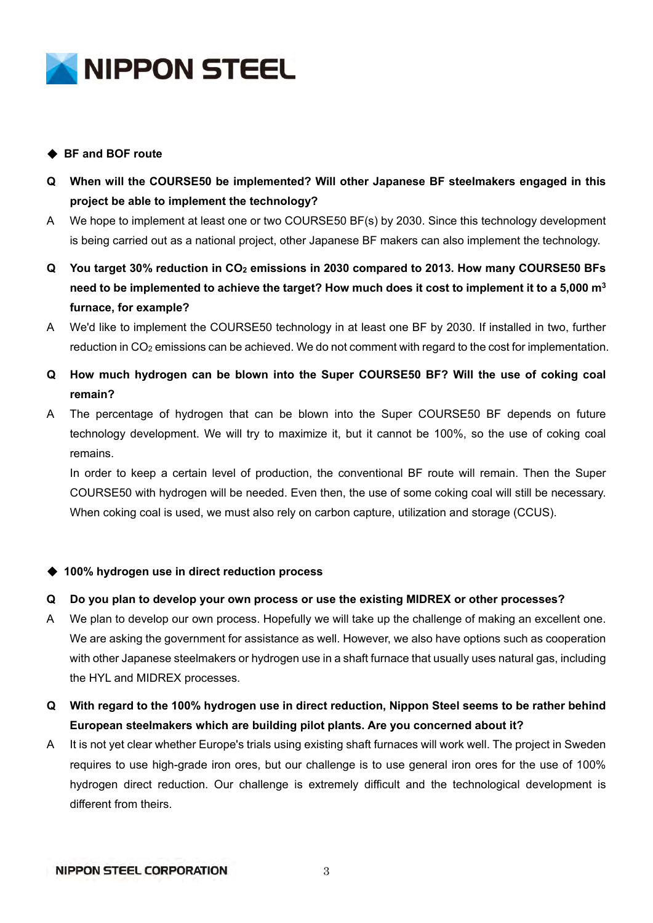

# ◆ **BF and BOF route**

- **Q When will the COURSE50 be implemented? Will other Japanese BF steelmakers engaged in this project be able to implement the technology?**
- A We hope to implement at least one or two COURSE50 BF(s) by 2030. Since this technology development is being carried out as a national project, other Japanese BF makers can also implement the technology.
- **Q You target 30% reduction in CO2 emissions in 2030 compared to 2013. How many COURSE50 BFs need to be implemented to achieve the target? How much does it cost to implement it to a 5,000 m3 furnace, for example?**
- A We'd like to implement the COURSE50 technology in at least one BF by 2030. If installed in two, further reduction in CO<sub>2</sub> emissions can be achieved. We do not comment with regard to the cost for implementation.
- **Q How much hydrogen can be blown into the Super COURSE50 BF? Will the use of coking coal remain?**
- A The percentage of hydrogen that can be blown into the Super COURSE50 BF depends on future technology development. We will try to maximize it, but it cannot be 100%, so the use of coking coal remains.

In order to keep a certain level of production, the conventional BF route will remain. Then the Super COURSE50 with hydrogen will be needed. Even then, the use of some coking coal will still be necessary. When coking coal is used, we must also rely on carbon capture, utilization and storage (CCUS).

## ◆ **100% hydrogen use in direct reduction process**

## **Q Do you plan to develop your own process or use the existing MIDREX or other processes?**

- A We plan to develop our own process. Hopefully we will take up the challenge of making an excellent one. We are asking the government for assistance as well. However, we also have options such as cooperation with other Japanese steelmakers or hydrogen use in a shaft furnace that usually uses natural gas, including the HYL and MIDREX processes.
- **Q With regard to the 100% hydrogen use in direct reduction, Nippon Steel seems to be rather behind European steelmakers which are building pilot plants. Are you concerned about it?**
- A It is not yet clear whether Europe's trials using existing shaft furnaces will work well. The project in Sweden requires to use high-grade iron ores, but our challenge is to use general iron ores for the use of 100% hydrogen direct reduction. Our challenge is extremely difficult and the technological development is different from theirs.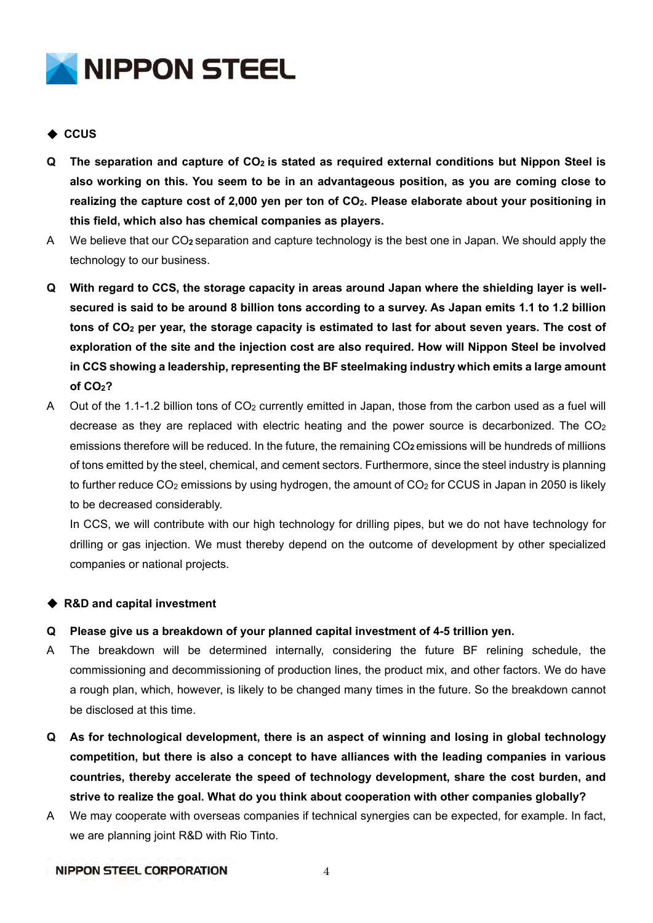

# ◆ **CCUS**

- **Q The separation and capture of CO2 is stated as required external conditions but Nippon Steel is also working on this. You seem to be in an advantageous position, as you are coming close to realizing the capture cost of 2,000 yen per ton of CO2. Please elaborate about your positioning in this field, which also has chemical companies as players.**
- A We believe that our CO**2** separation and capture technology is the best one in Japan. We should apply the technology to our business.
- **Q With regard to CCS, the storage capacity in areas around Japan where the shielding layer is wellsecured is said to be around 8 billion tons according to a survey. As Japan emits 1.1 to 1.2 billion**  tons of CO<sub>2</sub> per year, the storage capacity is estimated to last for about seven years. The cost of **exploration of the site and the injection cost are also required. How will Nippon Steel be involved in CCS showing a leadership, representing the BF steelmaking industry which emits a large amount of CO2?**
- A Out of the 1.1-1.2 billion tons of CO<sub>2</sub> currently emitted in Japan, those from the carbon used as a fuel will decrease as they are replaced with electric heating and the power source is decarbonized. The  $CO<sub>2</sub>$ emissions therefore will be reduced. In the future, the remaining CO<sub>2</sub> emissions will be hundreds of millions of tons emitted by the steel, chemical, and cement sectors. Furthermore, since the steel industry is planning to further reduce CO<sub>2</sub> emissions by using hydrogen, the amount of CO<sub>2</sub> for CCUS in Japan in 2050 is likely to be decreased considerably.

In CCS, we will contribute with our high technology for drilling pipes, but we do not have technology for drilling or gas injection. We must thereby depend on the outcome of development by other specialized companies or national projects.

## ◆ R&D and capital investment

- **Q Please give us a breakdown of your planned capital investment of 4-5 trillion yen.**
- A The breakdown will be determined internally, considering the future BF relining schedule, the commissioning and decommissioning of production lines, the product mix, and other factors. We do have a rough plan, which, however, is likely to be changed many times in the future. So the breakdown cannot be disclosed at this time.
- **Q As for technological development, there is an aspect of winning and losing in global technology competition, but there is also a concept to have alliances with the leading companies in various countries, thereby accelerate the speed of technology development, share the cost burden, and strive to realize the goal. What do you think about cooperation with other companies globally?**
- A We may cooperate with overseas companies if technical synergies can be expected, for example. In fact, we are planning joint R&D with Rio Tinto.

#### **NIPPON STEEL CORPORATION**